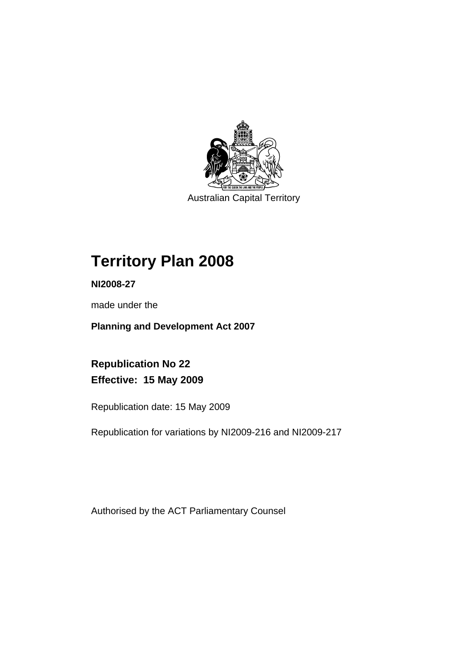

Australian Capital Territory

# **Territory Plan 2008**

**NI2008-27** 

made under the

**Planning and Development Act 2007** 

**Republication No 22 Effective: 15 May 2009** 

Republication date: 15 May 2009

Republication for variations by NI2009-216 and NI2009-217

Authorised by the ACT Parliamentary Counsel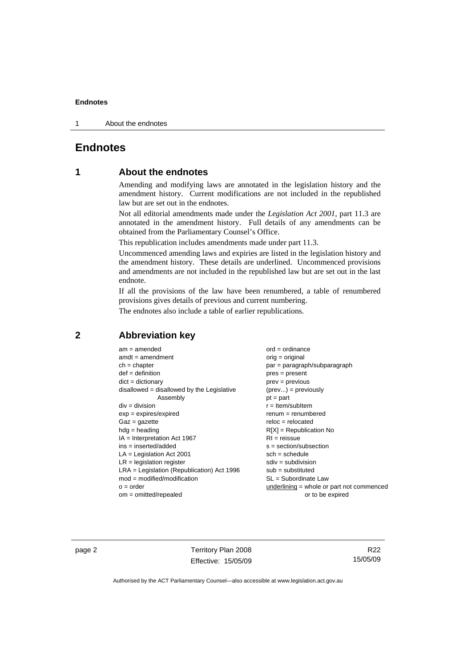1 About the endnotes

# **Endnotes**

# **1 About the endnotes**

Amending and modifying laws are annotated in the legislation history and the amendment history. Current modifications are not included in the republished law but are set out in the endnotes.

Not all editorial amendments made under the *Legislation Act 2001*, part 11.3 are annotated in the amendment history. Full details of any amendments can be obtained from the Parliamentary Counsel's Office.

This republication includes amendments made under part 11.3.

Uncommenced amending laws and expiries are listed in the legislation history and the amendment history. These details are underlined. Uncommenced provisions and amendments are not included in the republished law but are set out in the last endnote.

If all the provisions of the law have been renumbered, a table of renumbered provisions gives details of previous and current numbering.

The endnotes also include a table of earlier republications.

# **2 Abbreviation key**

| $am = amended$                               | $ord = ordinance$                   |
|----------------------------------------------|-------------------------------------|
| $amdt = amendment$                           | $orig = original$                   |
| $ch = chapter$                               | par = paragraph/subparagrapl        |
| $def = definition$                           | $pres = present$                    |
| $dict = dictionary$                          | $prev = previous$                   |
| $disallowed = disallowed by the Legislative$ | $(\text{prev}) = \text{previously}$ |
| Assembly                                     | $pt = part$                         |
| $div = division$                             | $r =$ Item/subItem                  |
| $exp = expires/expired$                      | $renum = renumbered$                |
| $Gaz = gazette$                              | $reloc = relocated$                 |
| $hda =$ heading                              | $R[X]$ = Republication No           |
| $IA = Interpretation Act 1967$               | $RI =$ reissue                      |
| ins = inserted/added                         | $s = section/subsection$            |
| $LA =$ Legislation Act 2001                  | $sch = schedule$                    |
| $LR =$ legislation register                  | $sdiv = subdivision$                |
| $LRA =$ Legislation (Republication) Act 1996 | $sub =$ substituted                 |
| $mod = modified/modification$                | $SL = Subordinate$ Law              |
| $o = order$                                  | underlining $=$ whole or part no    |
| $om = omitted/repealed$                      | or to be expired                    |

agraph/subparagraph = previously renumbered epublication No on/subsection bdivision ordinate Law o = whole or part not commenced

page 2 Territory Plan 2008 Effective: 15/05/09

R22 15/05/09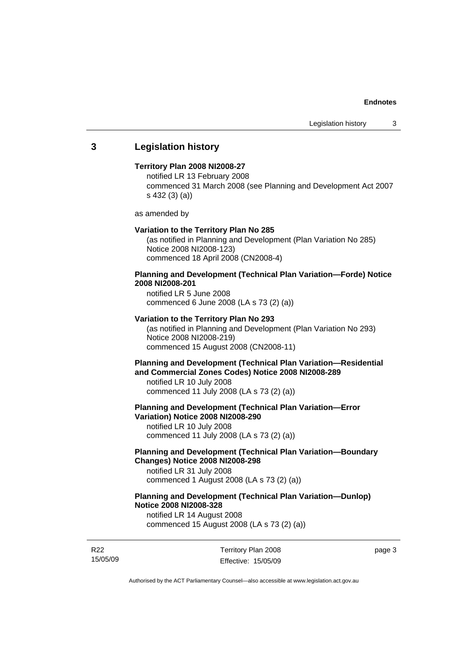# **3 Legislation history**

#### **Territory Plan 2008 NI2008-27**

notified LR 13 February 2008 commenced 31 March 2008 (see Planning and Development Act 2007 s 432 (3) (a))

as amended by

#### **Variation to the Territory Plan No 285**

(as notified in Planning and Development (Plan Variation No 285) Notice 2008 NI2008-123) commenced 18 April 2008 (CN2008-4)

# **Planning and Development (Technical Plan Variation—Forde) Notice 2008 NI2008-201**

notified LR 5 June 2008 commenced 6 June 2008 (LA s 73 (2) (a))

#### **Variation to the Territory Plan No 293**

(as notified in Planning and Development (Plan Variation No 293) Notice 2008 NI2008-219) commenced 15 August 2008 (CN2008-11)

# **Planning and Development (Technical Plan Variation—Residential and Commercial Zones Codes) Notice 2008 NI2008-289**

notified LR 10 July 2008 commenced 11 July 2008 (LA s 73 (2) (a))

#### **Planning and Development (Technical Plan Variation—Error Variation) Notice 2008 NI2008-290**

notified LR 10 July 2008 commenced 11 July 2008 (LA s 73 (2) (a))

# **Planning and Development (Technical Plan Variation—Boundary Changes) Notice 2008 NI2008-298**

notified LR 31 July 2008 commenced 1 August 2008 (LA s 73 (2) (a))

# **Planning and Development (Technical Plan Variation—Dunlop) Notice 2008 NI2008-328**

notified LR 14 August 2008 commenced 15 August 2008 (LA s 73 (2) (a))

R22 15/05/09 Territory Plan 2008 Effective: 15/05/09 page 3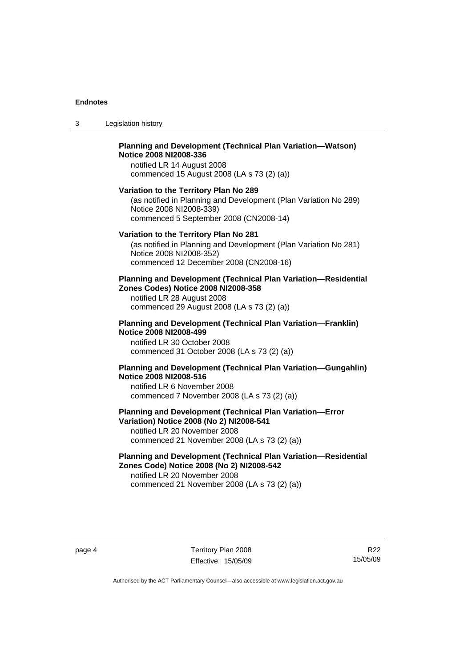3 Legislation history

#### **Planning and Development (Technical Plan Variation—Watson) Notice 2008 NI2008-336**  notified LR 14 August 2008

commenced 15 August 2008 (LA s 73 (2) (a))

#### **Variation to the Territory Plan No 289**

(as notified in Planning and Development (Plan Variation No 289) Notice 2008 NI2008-339) commenced 5 September 2008 (CN2008-14)

#### **Variation to the Territory Plan No 281**

(as notified in Planning and Development (Plan Variation No 281) Notice 2008 NI2008-352) commenced 12 December 2008 (CN2008-16)

#### **Planning and Development (Technical Plan Variation—Residential Zones Codes) Notice 2008 NI2008-358**

notified LR 28 August 2008 commenced 29 August 2008 (LA s 73 (2) (a))

#### **Planning and Development (Technical Plan Variation—Franklin) Notice 2008 NI2008-499**

notified LR 30 October 2008 commenced 31 October 2008 (LA s 73 (2) (a))

# **Planning and Development (Technical Plan Variation—Gungahlin) Notice 2008 NI2008-516**

notified LR 6 November 2008 commenced 7 November 2008 (LA s 73 (2) (a))

# **Planning and Development (Technical Plan Variation—Error Variation) Notice 2008 (No 2) NI2008-541**

notified LR 20 November 2008 commenced 21 November 2008 (LA s 73 (2) (a))

# **Planning and Development (Technical Plan Variation—Residential Zones Code) Notice 2008 (No 2) NI2008-542**

notified LR 20 November 2008 commenced 21 November 2008 (LA s 73 (2) (a))

R22 15/05/09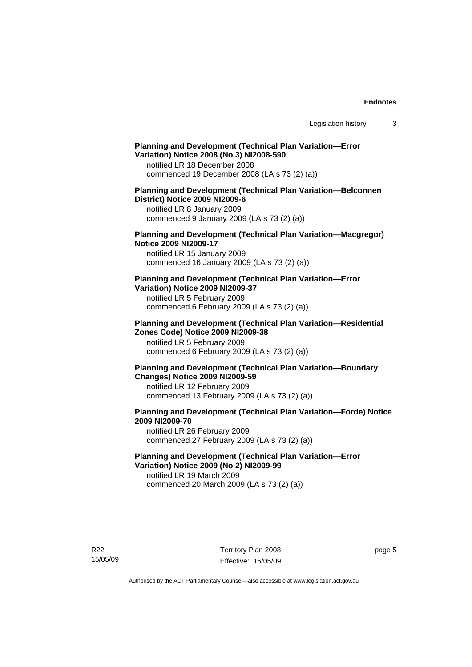# **Planning and Development (Technical Plan Variation—Error Variation) Notice 2008 (No 3) NI2008-590**

notified LR 18 December 2008 commenced 19 December 2008 (LA s 73 (2) (a))

### **Planning and Development (Technical Plan Variation—Belconnen District) Notice 2009 NI2009-6**

notified LR 8 January 2009 commenced 9 January 2009 (LA s 73 (2) (a))

#### **Planning and Development (Technical Plan Variation—Macgregor) Notice 2009 NI2009-17**

notified LR 15 January 2009 commenced 16 January 2009 (LA s 73 (2) (a))

### **Planning and Development (Technical Plan Variation—Error Variation) Notice 2009 NI2009-37**

notified LR 5 February 2009 commenced 6 February 2009 (LA s 73 (2) (a))

#### **Planning and Development (Technical Plan Variation—Residential Zones Code) Notice 2009 NI2009-38**

notified LR 5 February 2009 commenced 6 February 2009 (LA s 73 (2) (a))

### **Planning and Development (Technical Plan Variation—Boundary Changes) Notice 2009 NI2009-59**

notified LR 12 February 2009 commenced 13 February 2009 (LA s 73 (2) (a))

# **Planning and Development (Technical Plan Variation—Forde) Notice 2009 NI2009-70**

notified LR 26 February 2009 commenced 27 February 2009 (LA s 73 (2) (a))

# **Planning and Development (Technical Plan Variation—Error Variation) Notice 2009 (No 2) NI2009-99**

notified LR 19 March 2009 commenced 20 March 2009 (LA s 73 (2) (a))

R22 15/05/09 Territory Plan 2008 Effective: 15/05/09 page 5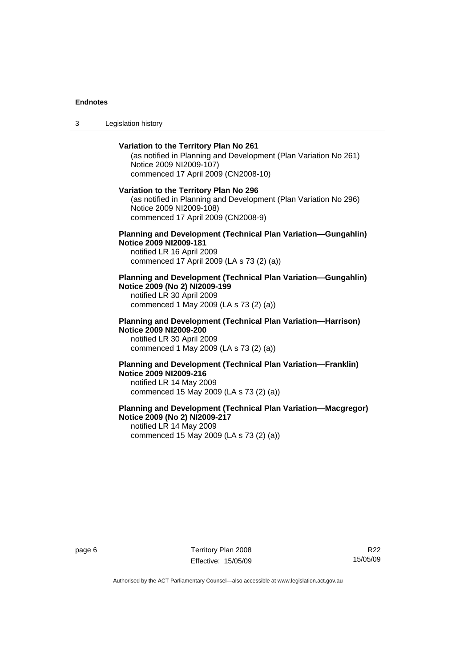3 Legislation history

# **Variation to the Territory Plan No 261**  (as notified in Planning and Development (Plan Variation No 261) Notice 2009 NI2009-107) commenced 17 April 2009 (CN2008-10) **Variation to the Territory Plan No 296**  (as notified in Planning and Development (Plan Variation No 296) Notice 2009 NI2009-108) commenced 17 April 2009 (CN2008-9) **Planning and Development (Technical Plan Variation—Gungahlin) Notice 2009 NI2009-181**  notified LR 16 April 2009 commenced 17 April 2009 (LA s 73 (2) (a)) **Planning and Development (Technical Plan Variation—Gungahlin) Notice 2009 (No 2) NI2009-199**  notified LR 30 April 2009 commenced 1 May 2009 (LA s 73 (2) (a)) **Planning and Development (Technical Plan Variation—Harrison)**

**Notice 2009 NI2009-200**  notified LR 30 April 2009 commenced 1 May 2009 (LA s 73 (2) (a))

#### **Planning and Development (Technical Plan Variation—Franklin) Notice 2009 NI2009-216**  notified LR 14 May 2009 commenced 15 May 2009 (LA s 73 (2) (a))

#### **Planning and Development (Technical Plan Variation—Macgregor) Notice 2009 (No 2) NI2009-217**  notified LR 14 May 2009 commenced 15 May 2009 (LA s 73 (2) (a))

page 6 Territory Plan 2008 Effective: 15/05/09

R22 15/05/09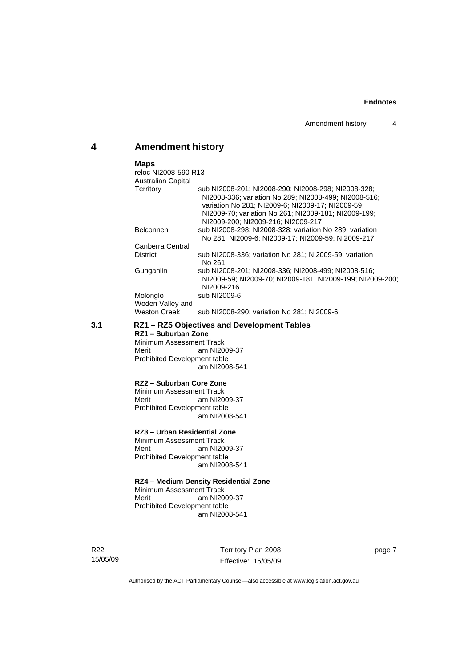# **4 Amendment history**

#### **Maps**

| reloc NI2008-590 R13         |                                                                                                                                                                                                                                                                 |
|------------------------------|-----------------------------------------------------------------------------------------------------------------------------------------------------------------------------------------------------------------------------------------------------------------|
| <b>Australian Capital</b>    |                                                                                                                                                                                                                                                                 |
| Territory                    | sub NI2008-201: NI2008-290: NI2008-298: NI2008-328:<br>NI2008-336; variation No 289; NI2008-499; NI2008-516;<br>variation No 281; NI2009-6; NI2009-17; NI2009-59;<br>NI2009-70; variation No 261; NI2009-181; NI2009-199;<br>NI2009-200: NI2009-216: NI2009-217 |
| <b>Belconnen</b>             | sub NI2008-298: NI2008-328: variation No 289: variation<br>No 281: NI2009-6: NI2009-17: NI2009-59: NI2009-217                                                                                                                                                   |
| Canberra Central             |                                                                                                                                                                                                                                                                 |
| <b>District</b>              | sub NI2008-336; variation No 281; NI2009-59; variation<br>No 261                                                                                                                                                                                                |
| Gungahlin                    | sub NI2008-201; NI2008-336; NI2008-499; NI2008-516;<br>NI2009-59; NI2009-70; NI2009-181; NI2009-199; NI2009-200;<br>NI2009-216                                                                                                                                  |
| Molonglo<br>Woden Valley and | sub NI2009-6                                                                                                                                                                                                                                                    |
| <b>Weston Creek</b>          | sub NI2008-290; variation No 281; NI2009-6                                                                                                                                                                                                                      |

### **3.1 RZ1 – RZ5 Objectives and Development Tables**

**RZ1 – Suburban Zone**  Minimum Assessment Track<br>Merit am NI20 am NI2009-37 Prohibited Development table am NI2008-541

#### **RZ2 – Suburban Core Zone**

Minimum Assessment Track Merit am NI2009-37 Prohibited Development table am NI2008-541

# **RZ3 – Urban Residential Zone**

Minimum Assessment Track<br>Merit am NI20 am NI2009-37 Prohibited Development table am NI2008-541

#### **RZ4 – Medium Density Residential Zone**

Minimum Assessment Track<br>Merit am NI20 am NI2009-37 Prohibited Development table am NI2008-541

R22 15/05/09 Territory Plan 2008 Effective: 15/05/09 page 7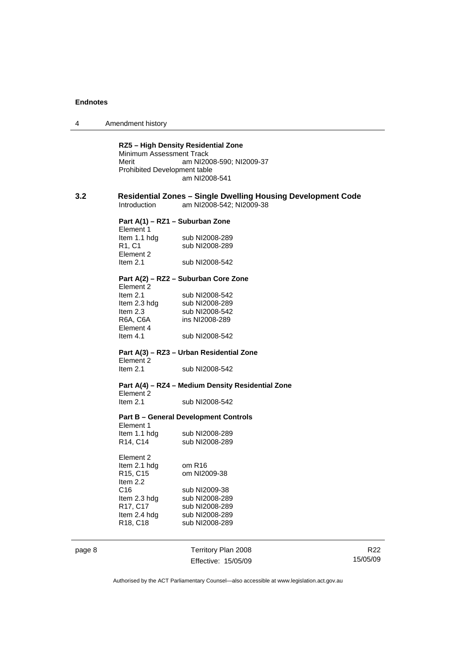| 4      | Amendment history                                                          |                                                                                                 |                             |  |
|--------|----------------------------------------------------------------------------|-------------------------------------------------------------------------------------------------|-----------------------------|--|
|        | Minimum Assessment Track<br>Merit<br>Prohibited Development table          | RZ5 - High Density Residential Zone<br>am NI2008-590; NI2009-37<br>am NI2008-541                |                             |  |
| 3.2    | Introduction                                                               | <b>Residential Zones - Single Dwelling Housing Development Code</b><br>am NI2008-542; NI2009-38 |                             |  |
|        | Element 1<br>Item 1.1 hdg                                                  | Part A(1) – RZ1 – Suburban Zone<br>sub NI2008-289                                               |                             |  |
|        | R <sub>1</sub> , C <sub>1</sub><br>Element 2<br>Item $2.1$                 | sub NI2008-289<br>sub NI2008-542                                                                |                             |  |
|        | Element 2                                                                  | Part A(2) – RZ2 – Suburban Core Zone                                                            |                             |  |
|        | Item $2.1$<br>Item 2.3 hdg<br>Item 2.3<br>R6A, C6A                         | sub NI2008-542<br>sub NI2008-289<br>sub NI2008-542<br>ins NI2008-289                            |                             |  |
|        | Element 4<br>Item $4.1$                                                    | sub NI2008-542                                                                                  |                             |  |
|        | Element 2                                                                  | Part A(3) – RZ3 – Urban Residential Zone                                                        |                             |  |
|        | Item $2.1$                                                                 | sub NI2008-542                                                                                  |                             |  |
|        | Element 2                                                                  | Part A(4) - RZ4 - Medium Density Residential Zone                                               |                             |  |
|        | Item $2.1$                                                                 | sub NI2008-542                                                                                  |                             |  |
|        | Element 1                                                                  | <b>Part B - General Development Controls</b>                                                    |                             |  |
|        | Item 1.1 hdg<br>R14, C14                                                   | sub NI2008-289<br>sub NI2008-289                                                                |                             |  |
|        | Element 2<br>Item 2.1 hdg<br>R <sub>15</sub> , C <sub>15</sub><br>Item 2.2 | om R16<br>om NI2009-38                                                                          |                             |  |
|        | C16<br>Item 2.3 hdg<br>R17, C17<br>Item 2.4 hdg                            | sub NI2009-38<br>sub NI2008-289<br>sub NI2008-289<br>sub NI2008-289                             |                             |  |
|        | R18, C18                                                                   | sub NI2008-289                                                                                  |                             |  |
| page 8 |                                                                            | Territory Plan 2008<br>Effective: 15/05/09                                                      | R <sub>22</sub><br>15/05/09 |  |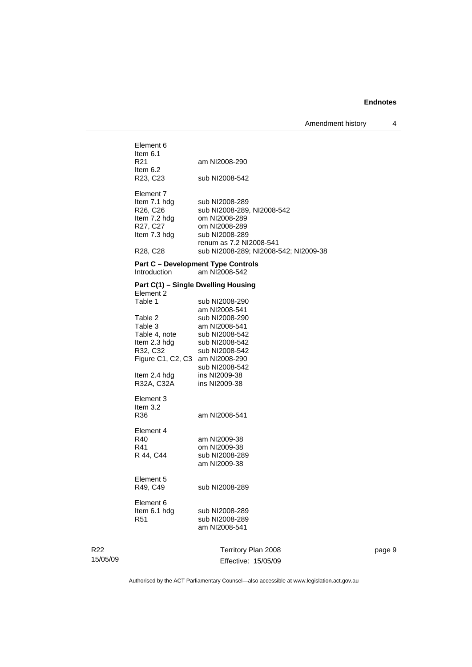Amendment history 4

| Element 6<br>Item $6.1$<br>R21<br>Item $6.2$<br>R23, C23                                                                                        | am NI2008-290<br>sub NI2008-542                                                                                                                                      |
|-------------------------------------------------------------------------------------------------------------------------------------------------|----------------------------------------------------------------------------------------------------------------------------------------------------------------------|
| Element 7<br>Item 7.1 hdg<br>R <sub>26</sub> , C <sub>26</sub><br>Item 7.2 hdg<br>R27, C27<br>Item 7.3 hdg<br>R <sub>28</sub> , C <sub>28</sub> | sub NI2008-289<br>sub NI2008-289, NI2008-542<br>om NI2008-289<br>om NI2008-289<br>sub NI2008-289<br>renum as 7.2 NI2008-541<br>sub NI2008-289; NI2008-542; NI2009-38 |
| Introduction                                                                                                                                    | <b>Part C - Development Type Controls</b><br>am NI2008-542                                                                                                           |
| Part C(1) - Single Dwelling Housing<br>Element 2<br>Table 1                                                                                     | sub NI2008-290<br>am NI2008-541                                                                                                                                      |
| Table 2<br>Table 3<br>Table 4, note<br>Item 2.3 hdg<br>R32, C32<br>Figure C1, C2, C3 am NI2008-290                                              | sub NI2008-290<br>am NI2008-541<br>sub NI2008-542<br>sub NI2008-542<br>sub NI2008-542                                                                                |
| Item 2.4 hdg<br>R32A, C32A                                                                                                                      | sub NI2008-542<br>ins NI2009-38<br>ins NI2009-38                                                                                                                     |
| Element 3<br>Item $3.2$<br>R36                                                                                                                  | am NI2008-541                                                                                                                                                        |
| Element 4<br>R40<br>R41<br>R 44, C44                                                                                                            | am NI2009-38<br>om NI2009-38<br>sub NI2008-289<br>am NI2009-38                                                                                                       |
| Element 5<br>R49, C49                                                                                                                           | sub NI2008-289                                                                                                                                                       |
| Element 6<br>Item 6.1 hdg<br>R <sub>51</sub>                                                                                                    | sub NI2008-289<br>sub NI2008-289<br>am NI2008-541                                                                                                                    |
|                                                                                                                                                 | Territory Plan 2008                                                                                                                                                  |

R22 15/05/09

Effective: 15/05/09

page 9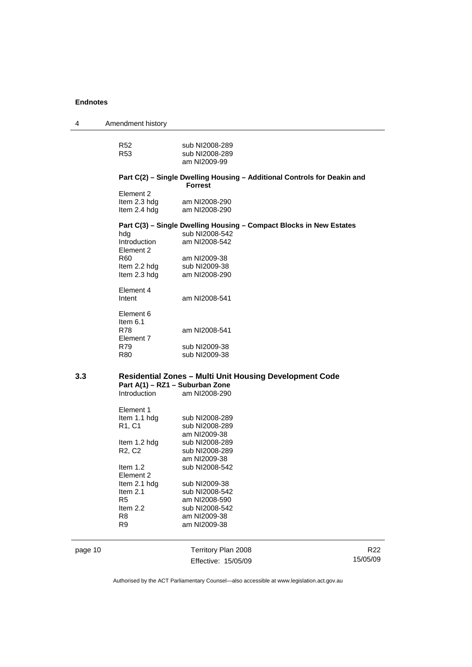| 4       | Amendment history               |                                                                          |                 |
|---------|---------------------------------|--------------------------------------------------------------------------|-----------------|
|         | R52                             | sub NI2008-289                                                           |                 |
|         | R53                             | sub NI2008-289                                                           |                 |
|         |                                 | am NI2009-99                                                             |                 |
|         |                                 | Part C(2) - Single Dwelling Housing - Additional Controls for Deakin and |                 |
|         |                                 | <b>Forrest</b>                                                           |                 |
|         | Element 2                       | am NI2008-290                                                            |                 |
|         | Item 2.3 hdg<br>Item 2.4 hdg    | am NI2008-290                                                            |                 |
|         |                                 |                                                                          |                 |
|         |                                 | Part C(3) - Single Dwelling Housing - Compact Blocks in New Estates      |                 |
|         | hdg<br>Introduction             | sub NI2008-542                                                           |                 |
|         | Element 2                       | am NI2008-542                                                            |                 |
|         | R60                             | am NI2009-38                                                             |                 |
|         | Item 2.2 hdg                    | sub NI2009-38                                                            |                 |
|         | Item 2.3 hdg                    | am NI2008-290                                                            |                 |
|         |                                 |                                                                          |                 |
|         | Element 4                       |                                                                          |                 |
|         | Intent                          | am NI2008-541                                                            |                 |
|         | Element 6                       |                                                                          |                 |
|         | Item $6.1$                      |                                                                          |                 |
|         | <b>R78</b>                      | am NI2008-541                                                            |                 |
|         | Element 7                       |                                                                          |                 |
|         | R79<br>R80                      | sub NI2009-38<br>sub NI2009-38                                           |                 |
| 3.3     |                                 | <b>Residential Zones - Multi Unit Housing Development Code</b>           |                 |
|         |                                 | Part A(1) - RZ1 - Suburban Zone                                          |                 |
|         | Introduction                    | am NI2008-290                                                            |                 |
|         | Element 1                       |                                                                          |                 |
|         | Item 1.1 hdg                    | sub NI2008-289                                                           |                 |
|         | R <sub>1</sub> , C <sub>1</sub> | sub NI2008-289                                                           |                 |
|         |                                 | am NI2009-38                                                             |                 |
|         | Item 1.2 hdg                    | sub NI2008-289                                                           |                 |
|         | R <sub>2</sub> , C <sub>2</sub> | sub NI2008-289                                                           |                 |
|         |                                 | am NI2009-38                                                             |                 |
|         | ltem 1.2                        | sub NI2008-542                                                           |                 |
|         | Element 2                       |                                                                          |                 |
|         | Item 2.1 hdg<br>Item 2.1        | sub NI2009-38<br>sub NI2008-542                                          |                 |
|         | R <sub>5</sub>                  | am NI2008-590                                                            |                 |
|         | Item 2.2                        | sub NI2008-542                                                           |                 |
|         | R <sub>8</sub>                  | am NI2009-38                                                             |                 |
|         | R <sub>9</sub>                  | am NI2009-38                                                             |                 |
| page 10 |                                 | Territory Plan 2008                                                      | R <sub>22</sub> |
|         |                                 |                                                                          | 15/05/09        |
|         |                                 | Effective: 15/05/09                                                      |                 |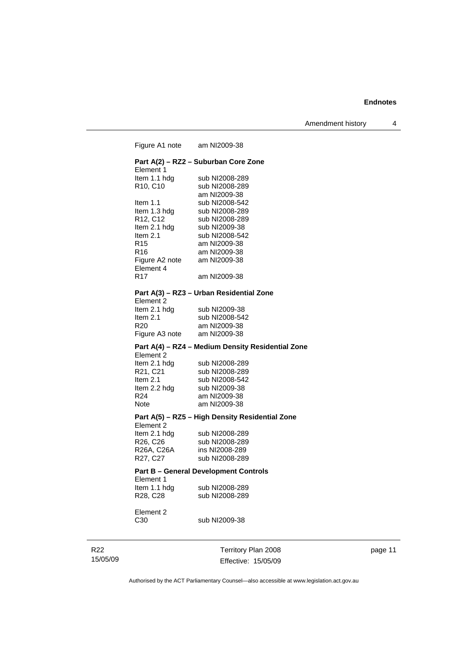Figure A1 note am NI2009-38 **Part A(2) – RZ2 – Suburban Core Zone**  Element 1<br>Item 1.1 hdg Item 1.1 hdg sub NI2008-289<br>R10, C10 sub NI2008-289 sub NI2008-289 am NI2009-38<br>Item 1.1 sub NI2008-54 sub NI2008-542 Item 1.3 hdg sub NI2008-289<br>R12, C12 sub NI2008-289 sub NI2008-289 Item 2.1 hdg sub NI2009-38 Item 2.1 sub NI2008-542 R15 am NI2009-38<br>R16 am NI2009-38 am NI2009-38 Figure A2 note am NI2009-38 Element 4 R17 am NI2009-38 **Part A(3) – RZ3 – Urban Residential Zone**  Element 2<br>Item 2.1 hdg sub NI2009-38 Item 2.1 sub NI2008-542<br>R20 am NI2009-38 am NI2009-38 Figure A3 note am NI2009-38 **Part A(4) – RZ4 – Medium Density Residential Zone**  Element 2<br>Item 2.1 hdg Item 2.1 hdg sub NI2008-289<br>R21, C21 sub NI2008-289 sub NI2008-289 Item 2.1 sub NI2008-542<br>Item 2.2 hdg sub NI2009-38 Item 2.2 hdg sub NI2009-38<br>R24 am NI2009-38 am NI2009-38 Note am NI2009-38 **Part A(5) – RZ5 – High Density Residential Zone**  Element 2 Item 2.1 hdg sub NI2008-289 R26, C26 sub NI2008-289 R26A, C26A ins NI2008-289 R27, C27 sub NI2008-289 **Part B – General Development Controls**  Element 1 Item 1.1 hdg sub NI2008-289 R28, C28 sub NI2008-289 Element 2 C30 sub NI2009-38

R22 15/05/09 Territory Plan 2008 Effective: 15/05/09 page 11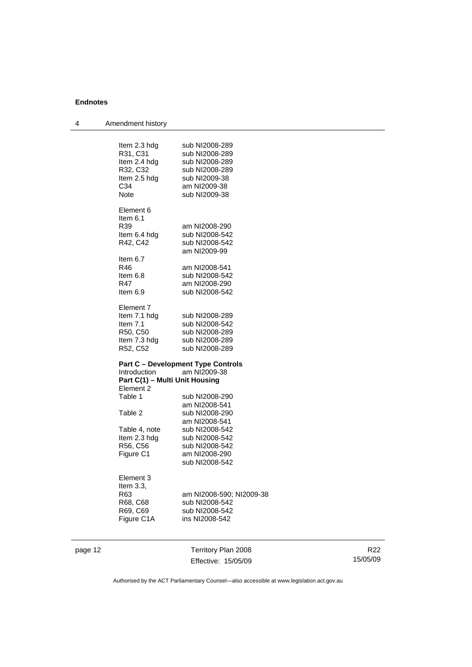| 4 | Amendment history                              |                                            |
|---|------------------------------------------------|--------------------------------------------|
|   | Item 2.3 hdg                                   | sub NI2008-289                             |
|   | R31, C31<br>Item 2.4 hdg                       | sub NI2008-289<br>sub NI2008-289           |
|   | R32, C32                                       | sub NI2008-289                             |
|   | Item 2.5 hdg                                   | sub NI2009-38                              |
|   | C34                                            | am NI2009-38                               |
|   | Note                                           | sub NI2009-38                              |
|   | Element 6<br>Item $6.1$                        |                                            |
|   | R39                                            | am NI2008-290                              |
|   | Item 6.4 hdg                                   | sub NI2008-542                             |
|   | R42, C42                                       | sub NI2008-542<br>am NI2009-99             |
|   | Item 6.7                                       |                                            |
|   | R46                                            | am NI2008-541                              |
|   | ltem 6.8                                       | sub NI2008-542                             |
|   | R47                                            | am NI2008-290                              |
|   | Item 6.9                                       | sub NI2008-542                             |
|   | Element 7                                      |                                            |
|   | Item 7.1 hdg                                   | sub NI2008-289                             |
|   | Item $7.1$                                     | sub NI2008-542                             |
|   | R50, C50                                       | sub NI2008-289                             |
|   | Item 7.3 hdg                                   | sub NI2008-289                             |
|   | R52, C52                                       | sub NI2008-289                             |
|   |                                                | <b>Part C - Development Type Controls</b>  |
|   | Introduction<br>Part C(1) - Multi Unit Housing | am NI2009-38                               |
|   | Element 2                                      |                                            |
|   | Table 1                                        | sub NI2008-290                             |
|   |                                                | am NI2008-541                              |
|   | Table 2                                        | sub NI2008-290                             |
|   |                                                | am NI2008-541                              |
|   | Table 4, note                                  | sub NI2008-542                             |
|   | Item 2.3 hdg                                   | sub NI2008-542                             |
|   | R56, C56                                       | sub NI2008-542                             |
|   | Figure C1                                      | am NI2008-290                              |
|   |                                                | sub NI2008-542                             |
|   | Element 3                                      |                                            |
|   | Item $3.3$ .<br>R63                            |                                            |
|   | R68, C68                                       | am NI2008-590; NI2009-38<br>sub NI2008-542 |
|   | R69, C69                                       | sub NI2008-542                             |
|   | Figure C1A                                     | ins NI2008-542                             |
|   |                                                |                                            |
|   |                                                |                                            |

page 12 Territory Plan 2008 Effective: 15/05/09

R22 15/05/09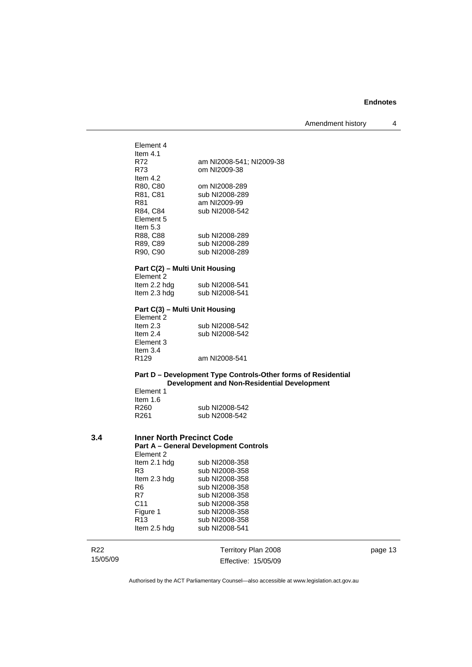Amendment history 4

Element 4 Item 4.1 R72 am NI2008-541; NI2009-38 om NI2009-38 Item 4.2 R80, C80 om NI2008-289<br>R81, C81 sub NI2008-289 R81, C81 sub NI2008-289<br>R81 am NI2009-99 am NI2009-99 R84, C84 sub NI2008-542 Element 5 Item 5.3 R88, C88 sub NI2008-289 R89, C89 sub NI2008-289<br>R90, C90 sub NI2008-289 sub NI2008-289 **Part C(2) – Multi Unit Housing**  Element 2<br>Item 2.2 hdg sub NI2008-541 Item 2.3 hdg sub NI2008-541 **Part C(3) – Multi Unit Housing**  Element 2<br>Item 2.3 Item 2.3 sub NI2008-542<br>Item 2.4 sub NI2008-542 sub NI2008-542 Element 3 Item  $3.4$ <br>R129 am NI2008-541 **Part D – Development Type Controls-Other forms of Residential Development and Non-Residential Development**  Element 1 Item 1.6<br>R260 sub NI2008-542 R261 sub N2008-542 **3.4 Inner North Precinct Code Part A – General Development Controls**  Element 2<br>Item 2.1 hdg sub NI2008-358 R3 sub NI2008-358 Item 2.3 hdg sub NI2008-358 R6 sub NI2008-358 R7 sub NI2008-358<br>C11 sub NI2008-358 C11 sub NI2008-358<br>
Figure 1 sub NI2008-358 sub NI2008-358

R13 sub NI2008-358<br>Item 2.5 hdg sub NI2008-541

R22 15/05/09 Territory Plan 2008 Effective: 15/05/09 page 13

Authorised by the ACT Parliamentary Counsel—also accessible at www.legislation.act.gov.au

sub NI2008-541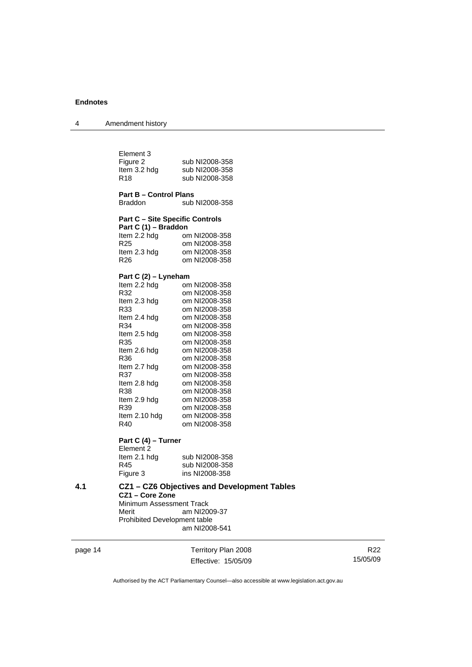| Amendment history |
|-------------------|
|                   |

| Element 3<br>Figure 2<br>Item 3.2 hdg<br>R <sub>18</sub> | sub NI2008-358<br>sub NI2008-358<br>sub NI2008-358 |
|----------------------------------------------------------|----------------------------------------------------|
| <b>Part B - Control Plans</b><br>Braddon                 | sub NI2008-358                                     |
| <b>Part C - Site Specific Controls</b>                   |                                                    |
| Part C (1) - Braddon                                     |                                                    |
| Item 2.2 hdg                                             | om NI2008-358                                      |
| R <sub>25</sub>                                          | om NI2008-358                                      |
| Item 2.3 hdg                                             | om NI2008-358                                      |
| R <sub>26</sub>                                          | om NI2008-358                                      |
|                                                          |                                                    |
| Part C (2) - Lyneham                                     |                                                    |
| Item 2.2 hdg                                             | om NI2008-358                                      |
| R32                                                      | om NI2008-358                                      |
| Item 2.3 hdg                                             | om NI2008-358                                      |
| R33                                                      | om NI2008-358<br>om NI2008-358                     |
| Item 2.4 hdg<br>R34                                      | om NI2008-358                                      |
| Item 2.5 hdg                                             | om NI2008-358                                      |
| R35                                                      | om NI2008-358                                      |
| Item 2.6 hdg                                             | om NI2008-358                                      |
| R36                                                      | om NI2008-358                                      |
| Item 2.7 hdg                                             | om NI2008-358                                      |
| R37                                                      | om NI2008-358                                      |
| Item 2.8 hdg                                             | om NI2008-358                                      |
| R38                                                      | om NI2008-358                                      |
| Item 2.9 hdg                                             | om NI2008-358                                      |
| R39                                                      | om NI2008-358                                      |
| Item 2.10 hdg                                            | om NI2008-358                                      |
| R40                                                      | om NI2008-358                                      |
| Part C (4) - Turner<br>Element <sub>2</sub>              |                                                    |

Item 2.1 hdg sub NI2008-358<br>R45 sub NI2008-358 R45 sub NI2008-358<br>Figure 3 ins NI2008-358 ins NI2008-358

**4.1 CZ1 – CZ6 Objectives and Development Tables CZ1 – Core Zone**  Minimum Assessment Track<br>Merit am NI20 am NI2009-37 Prohibited Development table am NI2008-541

page 14 Territory Plan 2008 Effective: 15/05/09

R22 15/05/09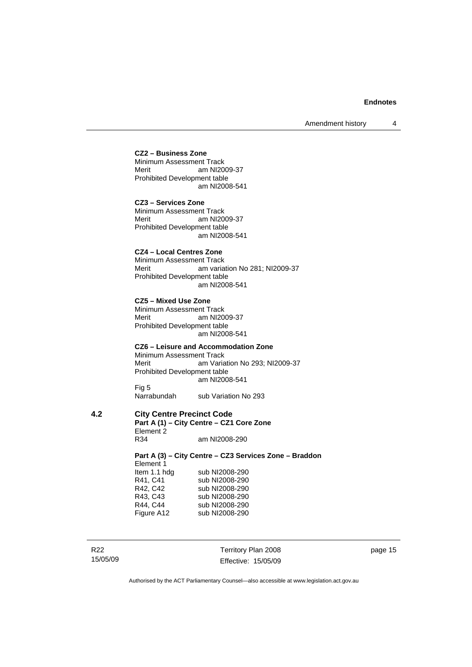#### **CZ2 – Business Zone**

Minimum Assessment Track<br>Merit am NI20 am NI2009-37 Prohibited Development table am NI2008-541

**CZ3 – Services Zone**  Minimum Assessment Track Merit am NI2009-37 Prohibited Development table am NI2008-541

# **CZ4 – Local Centres Zone**

Minimum Assessment Track Merit **Am variation No 281; NI2009-37** Prohibited Development table am NI2008-541

**CZ5 – Mixed Use Zone**  Minimum Assessment Track Merit am NI2009-37 Prohibited Development table am NI2008-541

#### **CZ6 – Leisure and Accommodation Zone**

Minimum Assessment Track<br>Merit am Varia am Variation No 293; NI2009-37 Prohibited Development table am NI2008-541 Fig 5<br>Narrabundah

sub Variation No 293

# **4.2 City Centre Precinct Code**

**Part A (1) – City Centre – CZ1 Core Zone**  Element 2<br>R34 am NI2008-290

**Part A (3) – City Centre – CZ3 Services Zone – Braddon**  Element 1<br>Item 1.1 hdg Item 1.1 hdg sub NI2008-290<br>R41, C41 sub NI2008-290 R41, C41 sub NI2008-290<br>R42, C42 sub NI2008-290 sub NI2008-290 R43, C43 sub NI2008-290 R44, C44 sub NI2008-290 Figure A12 sub NI2008-290

R22 15/05/09 Territory Plan 2008 Effective: 15/05/09 page 15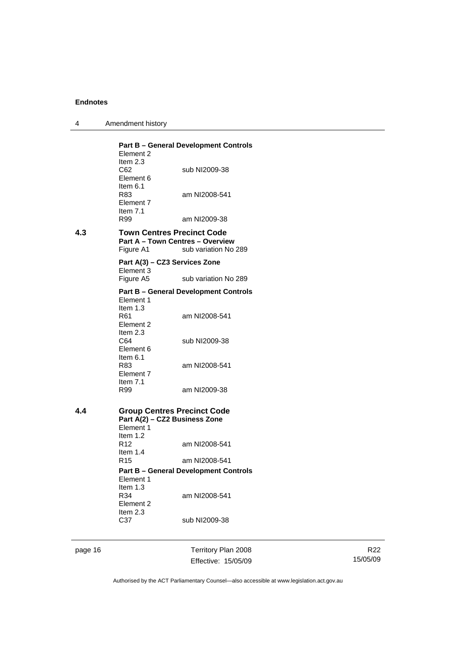|  | Amendment history |
|--|-------------------|
|--|-------------------|

|     | Element 2<br>Item $2.3$<br>C62<br>Element 6                                                    | <b>Part B - General Development Controls</b><br>sub NI2009-38 |
|-----|------------------------------------------------------------------------------------------------|---------------------------------------------------------------|
|     | Item $6.1$<br>R83<br>Element 7<br>Item $7.1$                                                   | am NI2008-541                                                 |
|     | R99                                                                                            | am NI2009-38                                                  |
| 4.3 | <b>Town Centres Precinct Code</b><br><b>Part A - Town Centres - Overview</b><br>Figure A1      | sub variation No 289                                          |
|     | Part A(3) - CZ3 Services Zone<br>Element 3                                                     |                                                               |
|     | Figure A5                                                                                      | sub variation No 289                                          |
|     | Element 1                                                                                      | <b>Part B - General Development Controls</b>                  |
|     | Item $1.3$<br>R <sub>61</sub><br>Element 2                                                     | am NI2008-541                                                 |
|     | Item $2.3$<br>C64<br>Element 6                                                                 | sub NI2009-38                                                 |
|     | Item $6.1$<br>R83<br>Element 7<br>Item $7.1$                                                   | am NI2008-541                                                 |
|     | R99                                                                                            | am NI2009-38                                                  |
| 4.4 | <b>Group Centres Precinct Code</b><br>Part A(2) - CZ2 Business Zone<br>Element 1<br>Item $1.2$ |                                                               |
|     | R <sub>12</sub><br>Item $1.4$                                                                  | am NI2008-541                                                 |
|     | R <sub>15</sub>                                                                                | am NI2008-541                                                 |
|     | Element 1<br>Item $1.3$                                                                        | <b>Part B - General Development Controls</b>                  |
|     | R34<br>Element 2<br>Item $2.3$                                                                 | am NI2008-541                                                 |
|     | C <sub>37</sub>                                                                                | sub NI2009-38                                                 |
|     |                                                                                                |                                                               |

page 16 Territory Plan 2008 Effective: 15/05/09

R22 15/05/09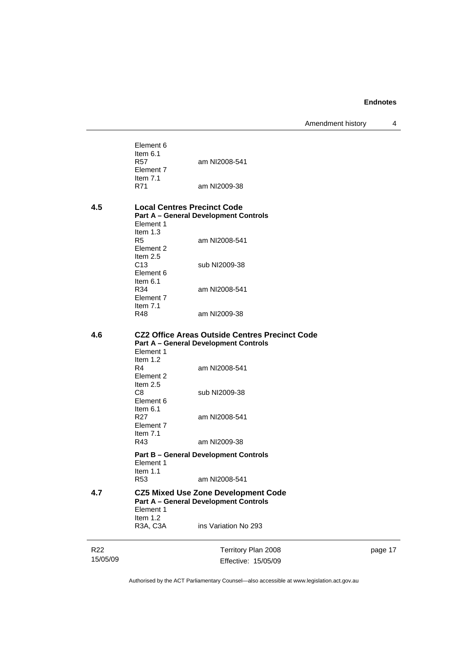Amendment history 4

Element 6 Item 6.1<br>R57 am NI2008-541 Element 7 Item 7.1<br>R71 am NI2009-38

# **4.5 Local Centres Precinct Code Part A – General Development Controls**  Element 1

| ltem 1.3   |               |
|------------|---------------|
| R5         | am NI2008-541 |
| Flement 2  |               |
| Item $2.5$ |               |
| C13        | sub NI2009-38 |
| Flement 6  |               |
| ltem 6.1   |               |
| R34        | am NI2008-541 |
| Flement 7  |               |
| Item $7.1$ |               |
| R48        | am NI2009-38  |

#### **4.6 CZ2 Office Areas Outside Centres Precinct Code Part A – General Development Controls**

|     | Element 1<br>Item $1.2$ |                                                                              |
|-----|-------------------------|------------------------------------------------------------------------------|
|     | R4                      | am NI2008-541                                                                |
|     | Element 2<br>Item $2.5$ |                                                                              |
|     | C8<br>Element 6         | sub NI2009-38                                                                |
|     | ltem 6.1                |                                                                              |
|     | R27<br>Element 7        | am NI2008-541                                                                |
|     | Item $7.1$<br>R43       | am NI2009-38                                                                 |
|     |                         | <b>Part B – General Development Controls</b>                                 |
|     | Flement 1<br>Item $1.1$ |                                                                              |
|     | R53                     | am NI2008-541                                                                |
| 4.7 | Element 1               | CZ5 Mixed Use Zone Development Code<br>Part A – General Development Controls |

Item 1.2<br>R3A, C3A ins Variation No 293

R22 15/05/09

Territory Plan 2008 Effective: 15/05/09 page 17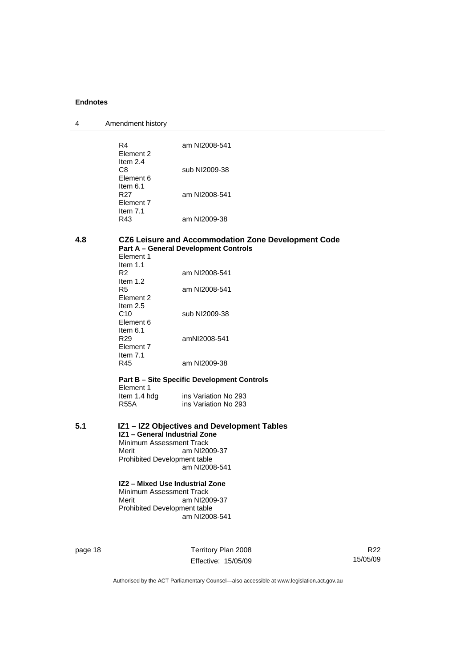| 4 | Amendment history |
|---|-------------------|
|---|-------------------|

|         | R4<br>Element 2                                                                                    | am NI2008-541                                                                                       |                 |
|---------|----------------------------------------------------------------------------------------------------|-----------------------------------------------------------------------------------------------------|-----------------|
|         | Item 2.4<br>C8<br>Element 6                                                                        | sub NI2009-38                                                                                       |                 |
|         | Item $6.1$<br>R <sub>27</sub><br>Element 7<br>Item 7.1                                             | am NI2008-541                                                                                       |                 |
|         | R43                                                                                                | am NI2009-38                                                                                        |                 |
| 4.8     | Element 1                                                                                          | CZ6 Leisure and Accommodation Zone Development Code<br><b>Part A - General Development Controls</b> |                 |
|         | Item 1.1<br>R2                                                                                     | am NI2008-541                                                                                       |                 |
|         | Item $1.2$<br>R5<br>Element 2                                                                      | am NI2008-541                                                                                       |                 |
|         | Item 2.5<br>C10<br>Element 6                                                                       | sub NI2009-38                                                                                       |                 |
|         | Item $6.1$<br>R <sub>29</sub><br>Element 7<br>Item $7.1$                                           | amNI2008-541                                                                                        |                 |
|         | R45                                                                                                | am NI2009-38                                                                                        |                 |
|         | Element 1                                                                                          | <b>Part B - Site Specific Development Controls</b>                                                  |                 |
|         | Item 1.4 hdg<br><b>R55A</b>                                                                        | ins Variation No 293<br>ins Variation No 293                                                        |                 |
| 5.1     | IZ1 - General Industrial Zone<br>Minimum Assessment Track<br>Merit<br>Prohibited Development table | IZ1 - IZ2 Objectives and Development Tables<br>am NI2009-37                                         |                 |
|         |                                                                                                    | am NI2008-541                                                                                       |                 |
|         | Minimum Assessment Track<br>Merit<br>Prohibited Development table                                  | IZ2 - Mixed Use Industrial Zone<br>am NI2009-37<br>am NI2008-541                                    |                 |
| page 18 |                                                                                                    | Territory Plan 2008                                                                                 | R <sub>22</sub> |
|         |                                                                                                    | Effective: 15/05/09                                                                                 | 15/05/09        |

Authorised by the ACT Parliamentary Counsel—also accessible at www.legislation.act.gov.au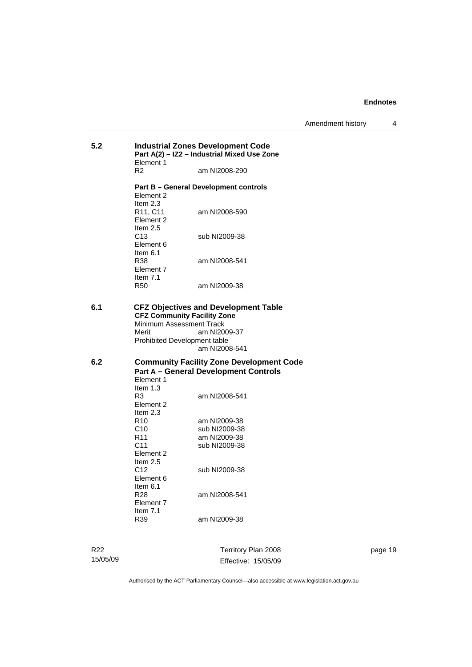| 5.2 | Element 1                                                                                               | <b>Industrial Zones Development Code</b><br>Part A(2) - IZ2 - Industrial Mixed Use Zone |
|-----|---------------------------------------------------------------------------------------------------------|-----------------------------------------------------------------------------------------|
|     | R2                                                                                                      | am NI2008-290                                                                           |
|     | Element 2                                                                                               | <b>Part B – General Development controls</b>                                            |
|     | Item $2.3$<br>R <sub>11</sub> , C <sub>11</sub><br>Element 2                                            | am NI2008-590                                                                           |
|     | Item $2.5$<br>C <sub>13</sub><br>Element 6<br>Item $6.1$                                                | sub NI2009-38                                                                           |
|     | R38<br>Element 7<br>Item $7.1$                                                                          | am NI2008-541                                                                           |
|     | R50                                                                                                     | am NI2009-38                                                                            |
| 6.1 | <b>CFZ Community Facility Zone</b><br>Minimum Assessment Track<br>Merit<br>Prohibited Development table | <b>CFZ Objectives and Development Table</b><br>am NI2009-37<br>am NI2008-541            |
| 6.2 |                                                                                                         | <b>Community Facility Zone Development Code</b>                                         |
|     | Element 1<br>Item $1.3$<br>R <sub>3</sub><br>Element 2                                                  | <b>Part A - General Development Controls</b><br>am NI2008-541                           |
|     | Item $2.3$<br>R <sub>10</sub><br>C10<br>R <sub>11</sub><br>C <sub>11</sub>                              | am NI2009-38<br>sub NI2009-38<br>am NI2009-38<br>sub NI2009-38                          |
|     | Element 2<br>Item $2.5$<br>C12<br>Element 6                                                             | sub NI2009-38                                                                           |
|     | Item $6.1$<br>R28<br>Element 7<br>Item $7.1$                                                            | am NI2008-541                                                                           |
|     | R39                                                                                                     | am NI2009-38                                                                            |

R22 15/05/09

Territory Plan 2008 Effective: 15/05/09 page 19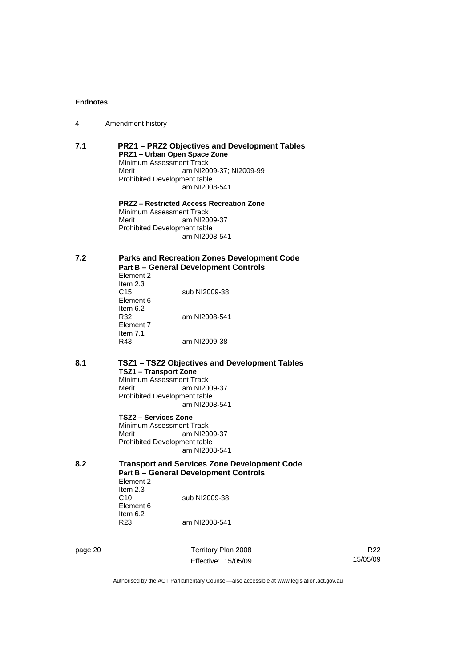| 4   | Amendment history                                                                                                                                                                                   |
|-----|-----------------------------------------------------------------------------------------------------------------------------------------------------------------------------------------------------|
| 7.1 | <b>PRZ1-PRZ2 Objectives and Development Tables</b><br>PRZ1 - Urban Open Space Zone<br>Minimum Assessment Track<br>Merit<br>am NI2009-37; NI2009-99<br>Prohibited Development table<br>am NI2008-541 |
|     | <b>PRZ2 - Restricted Access Recreation Zone</b><br>Minimum Assessment Track<br>am NI2009-37<br>Merit<br>Prohibited Development table<br>am NI2008-541                                               |
| 7.2 | <b>Parks and Recreation Zones Development Code</b><br><b>Part B - General Development Controls</b><br>Element 2<br>Item $2.3$                                                                       |
|     | C15<br>sub NI2009-38<br>Element 6                                                                                                                                                                   |
|     | Item $6.2$<br>R32<br>am NI2008-541<br>Element 7                                                                                                                                                     |
|     | Item $7.1$<br>R43<br>am NI2009-38                                                                                                                                                                   |
| 8.1 | TSZ1 - TSZ2 Objectives and Development Tables<br><b>TSZ1 - Transport Zone</b><br>Minimum Assessment Track<br>Merit<br>am NI2009-37<br>Prohibited Development table<br>am NI2008-541                 |
|     | TSZ2 - Services Zone<br>Minimum Assessment Track<br>am NI2009-37<br>Merit<br>Prohibited Development table<br>am NI2008-541                                                                          |
| 8.2 | <b>Transport and Services Zone Development Code</b><br><b>Part B - General Development Controls</b><br>Element 2                                                                                    |
|     | Item 2.3<br>C10<br>sub NI2009-38<br>Element 6<br>Item 6.2                                                                                                                                           |
|     | R23<br>am NI2008-541                                                                                                                                                                                |
|     |                                                                                                                                                                                                     |

page 20 Territory Plan 2008

15/05/09

R22

Authorised by the ACT Parliamentary Counsel—also accessible at www.legislation.act.gov.au

Effective: 15/05/09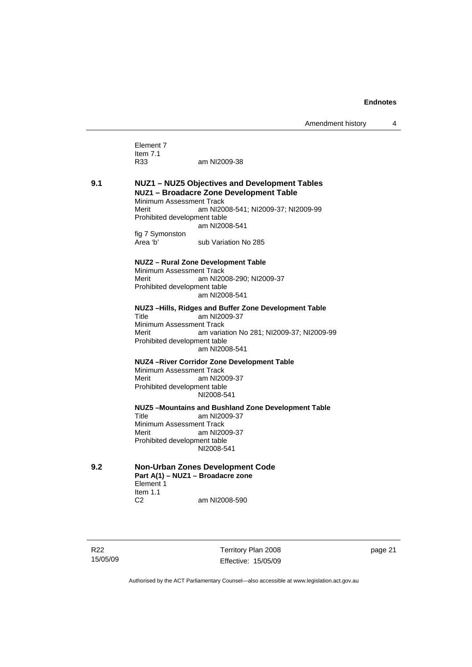Element 7 Item 7.1 R33 am NI2009-38

#### **9.1 NUZ1 – NUZ5 Objectives and Development Tables NUZ1 – Broadacre Zone Development Table**  Minimum Assessment Track

Merit am NI2008-541; NI2009-37; NI2009-99 Prohibited development table am NI2008-541 fig 7 Symonston

Area 'b' sub Variation No 285

#### **NUZ2 – Rural Zone Development Table**

Minimum Assessment Track Merit am NI2008-290; NI2009-37 Prohibited development table am NI2008-541

# **NUZ3 –Hills, Ridges and Buffer Zone Development Table**

am NI2009-37 Minimum Assessment Track Merit am variation No 281; NI2009-37; NI2009-99 Prohibited development table am NI2008-541

#### **NUZ4 –River Corridor Zone Development Table**

Minimum Assessment Track<br>Merit am NI20 am NI2009-37 Prohibited development table NI2008-541

**NUZ5 –Mountains and Bushland Zone Development Table**  Title am NI2009-37 Minimum Assessment Track<br>Merit am NI20 am NI2009-37 Prohibited development table NI2008-541

**9.2 Non-Urban Zones Development Code Part A(1) – NUZ1 – Broadacre zone**  Element 1 Item 1.1 C2 am NI2008-590

R22 15/05/09 Territory Plan 2008 Effective: 15/05/09 page 21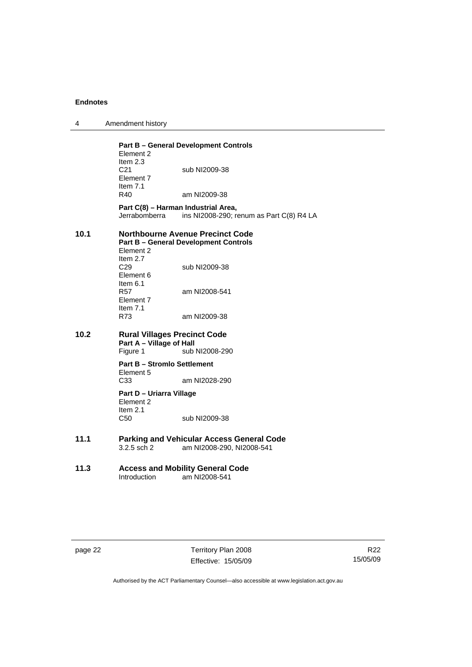|  | Amendment history |
|--|-------------------|
|--|-------------------|

|      | Element 2<br>Item 2.3                                           | <b>Part B - General Development Controls</b>                                            |
|------|-----------------------------------------------------------------|-----------------------------------------------------------------------------------------|
|      | C21<br>Element 7<br>Item $7.1$                                  | sub NI2009-38                                                                           |
|      | R40                                                             | am NI2009-38                                                                            |
|      | Part C(8) - Harman Industrial Area,<br>Jerrabomberra            | ins NI2008-290; renum as Part C(8) R4 LA                                                |
| 10.1 | Element 2<br>Item $2.7$                                         | <b>Northbourne Avenue Precinct Code</b><br><b>Part B - General Development Controls</b> |
|      | C <sub>29</sub><br>Element 6<br>Item $6.1$                      | sub NI2009-38                                                                           |
|      | R57<br>Element 7<br>Item $7.1$                                  | am NI2008-541                                                                           |
|      | R73                                                             | am NI2009-38                                                                            |
| 10.2 | <b>Rural Villages Precinct Code</b><br>Part A - Village of Hall |                                                                                         |
|      | Figure 1                                                        | sub NI2008-290                                                                          |
|      | <b>Part B - Stromlo Settlement</b><br>Element 5                 |                                                                                         |
|      | C <sub>33</sub>                                                 | am NI2028-290                                                                           |
|      | Part D - Uriarra Village<br>Element 2<br>Item $2.1$             |                                                                                         |
|      | C50                                                             | sub NI2009-38                                                                           |
| 11.1 | $3.2.5$ sch $2$                                                 | <b>Parking and Vehicular Access General Code</b><br>am NI2008-290, NI2008-541           |
| 11.3 | Introduction                                                    | <b>Access and Mobility General Code</b><br>am NI2008-541                                |
|      |                                                                 |                                                                                         |

page 22 Territory Plan 2008 Effective: 15/05/09

R22 15/05/09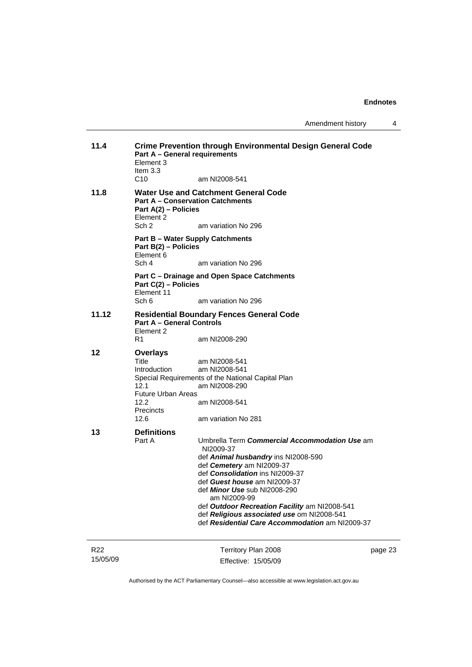| 11.4                        | Part A - General requirements<br>Element 3<br>Item $3.3$                                                   | <b>Crime Prevention through Environmental Design General Code</b>                                                                                                                                                                                                                                                                                                                                          |         |
|-----------------------------|------------------------------------------------------------------------------------------------------------|------------------------------------------------------------------------------------------------------------------------------------------------------------------------------------------------------------------------------------------------------------------------------------------------------------------------------------------------------------------------------------------------------------|---------|
|                             | C <sub>10</sub>                                                                                            | am NI2008-541                                                                                                                                                                                                                                                                                                                                                                                              |         |
| 11.8                        | Part A(2) - Policies<br>Element 2<br>Sch 2                                                                 | <b>Water Use and Catchment General Code</b><br><b>Part A – Conservation Catchments</b><br>am variation No 296                                                                                                                                                                                                                                                                                              |         |
|                             | Part B(2) - Policies<br>Element 6                                                                          | <b>Part B - Water Supply Catchments</b>                                                                                                                                                                                                                                                                                                                                                                    |         |
|                             | Sch 4                                                                                                      | am variation No 296                                                                                                                                                                                                                                                                                                                                                                                        |         |
|                             | Part C(2) - Policies<br>Element 11                                                                         | Part C - Drainage and Open Space Catchments                                                                                                                                                                                                                                                                                                                                                                |         |
|                             | Sch 6                                                                                                      | am variation No 296                                                                                                                                                                                                                                                                                                                                                                                        |         |
| 11.12                       | <b>Part A - General Controls</b><br>Element 2                                                              | <b>Residential Boundary Fences General Code</b>                                                                                                                                                                                                                                                                                                                                                            |         |
|                             | R1                                                                                                         | am NI2008-290                                                                                                                                                                                                                                                                                                                                                                                              |         |
| 12                          | <b>Overlays</b><br>Title<br>Introduction<br>12.1<br><b>Future Urban Areas</b><br>12.2<br>Precincts<br>12.6 | am NI2008-541<br>am NI2008-541<br>Special Requirements of the National Capital Plan<br>am NI2008-290<br>am NI2008-541<br>am variation No 281                                                                                                                                                                                                                                                               |         |
| 13                          | <b>Definitions</b><br>Part A                                                                               | Umbrella Term Commercial Accommodation Use am<br>NI2009-37<br>def Animal husbandry ins NI2008-590<br>def Cemetery am NI2009-37<br>def Consolidation ins NI2009-37<br>def Guest house am NI2009-37<br>def <i>Minor Use</i> sub NI2008-290<br>am NI2009-99<br>def Outdoor Recreation Facility am NI2008-541<br>def Religious associated use om NI2008-541<br>def Residential Care Accommodation am NI2009-37 |         |
| R <sub>22</sub><br>15/05/09 |                                                                                                            | Territory Plan 2008<br>Effective: 15/05/09                                                                                                                                                                                                                                                                                                                                                                 | page 23 |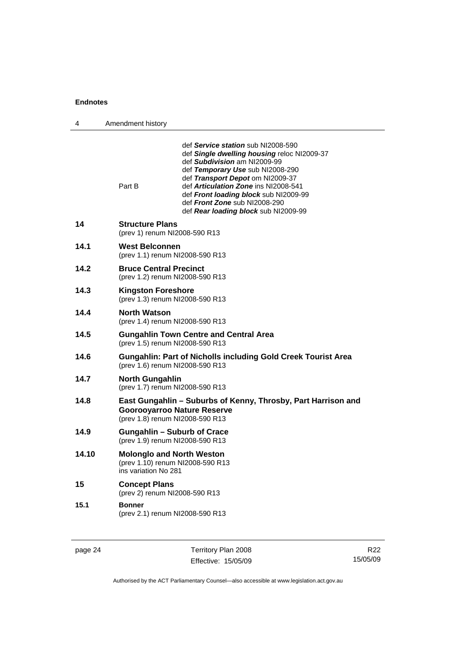| 4     | Amendment history                                                                            |                                                                                                                                                                                                                                                                                                                                                     |
|-------|----------------------------------------------------------------------------------------------|-----------------------------------------------------------------------------------------------------------------------------------------------------------------------------------------------------------------------------------------------------------------------------------------------------------------------------------------------------|
|       | Part B                                                                                       | def Service station sub NI2008-590<br>def Single dwelling housing reloc NI2009-37<br>def Subdivision am NI2009-99<br>def Temporary Use sub NI2008-290<br>def Transport Depot om NI2009-37<br>def Articulation Zone ins NI2008-541<br>def Front loading block sub NI2009-99<br>def Front Zone sub NI2008-290<br>def Rear loading block sub NI2009-99 |
| 14    | <b>Structure Plans</b><br>(prev 1) renum NI2008-590 R13                                      |                                                                                                                                                                                                                                                                                                                                                     |
| 14.1  | <b>West Belconnen</b><br>(prev 1.1) renum NI2008-590 R13                                     |                                                                                                                                                                                                                                                                                                                                                     |
| 14.2  | <b>Bruce Central Precinct</b><br>(prev 1.2) renum NI2008-590 R13                             |                                                                                                                                                                                                                                                                                                                                                     |
| 14.3  | <b>Kingston Foreshore</b><br>(prev 1.3) renum NI2008-590 R13                                 |                                                                                                                                                                                                                                                                                                                                                     |
| 14.4  | <b>North Watson</b><br>(prev 1.4) renum NI2008-590 R13                                       |                                                                                                                                                                                                                                                                                                                                                     |
| 14.5  | (prev 1.5) renum NI2008-590 R13                                                              | <b>Gungahlin Town Centre and Central Area</b>                                                                                                                                                                                                                                                                                                       |
| 14.6  | (prev 1.6) renum NI2008-590 R13                                                              | <b>Gungahlin: Part of Nicholls including Gold Creek Tourist Area</b>                                                                                                                                                                                                                                                                                |
| 14.7  | <b>North Gungahlin</b><br>(prev 1.7) renum NI2008-590 R13                                    |                                                                                                                                                                                                                                                                                                                                                     |
| 14.8  | <b>Goorooyarroo Nature Reserve</b><br>(prev 1.8) renum NI2008-590 R13                        | East Gungahlin - Suburbs of Kenny, Throsby, Part Harrison and                                                                                                                                                                                                                                                                                       |
| 14.9  | <b>Gungahlin - Suburb of Crace</b><br>(prev 1.9) renum NI2008-590 R13                        |                                                                                                                                                                                                                                                                                                                                                     |
| 14.10 | <b>Molonglo and North Weston</b><br>(prev 1.10) renum NI2008-590 R13<br>ins variation No 281 |                                                                                                                                                                                                                                                                                                                                                     |
| 15    | <b>Concept Plans</b><br>(prev 2) renum NI2008-590 R13                                        |                                                                                                                                                                                                                                                                                                                                                     |
| 15.1  | <b>Bonner</b><br>(prev 2.1) renum NI2008-590 R13                                             |                                                                                                                                                                                                                                                                                                                                                     |

page 24 Territory Plan 2008 Effective: 15/05/09

R22 15/05/09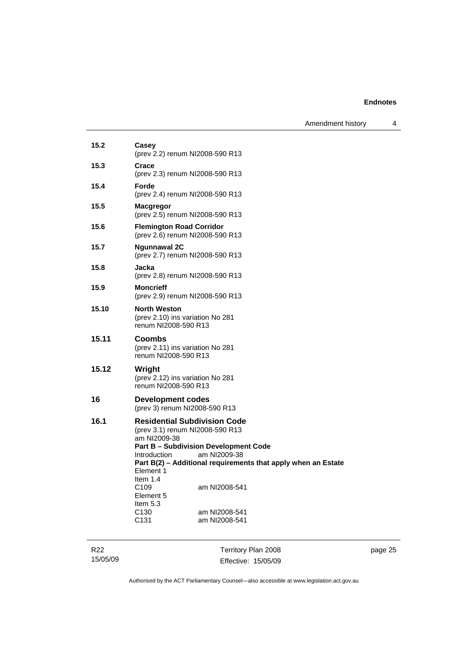Amendment history 4

| Casey<br>(prev 2.2) renum NI2008-590 R13                                                                                                                                                                                                                                                                                                                                                                     |
|--------------------------------------------------------------------------------------------------------------------------------------------------------------------------------------------------------------------------------------------------------------------------------------------------------------------------------------------------------------------------------------------------------------|
| Crace<br>(prev 2.3) renum NI2008-590 R13                                                                                                                                                                                                                                                                                                                                                                     |
| Forde<br>(prev 2.4) renum NI2008-590 R13                                                                                                                                                                                                                                                                                                                                                                     |
| <b>Macgregor</b><br>(prev 2.5) renum NI2008-590 R13                                                                                                                                                                                                                                                                                                                                                          |
| <b>Flemington Road Corridor</b><br>(prev 2.6) renum NI2008-590 R13                                                                                                                                                                                                                                                                                                                                           |
| <b>Ngunnawal 2C</b><br>(prev 2.7) renum NI2008-590 R13                                                                                                                                                                                                                                                                                                                                                       |
| Jacka<br>(prev 2.8) renum NI2008-590 R13                                                                                                                                                                                                                                                                                                                                                                     |
| <b>Moncrieff</b><br>(prev 2.9) renum NI2008-590 R13                                                                                                                                                                                                                                                                                                                                                          |
| <b>North Weston</b><br>(prev 2.10) ins variation No 281<br>renum NI2008-590 R13                                                                                                                                                                                                                                                                                                                              |
| Coombs<br>(prev 2.11) ins variation No 281<br>renum NI2008-590 R13                                                                                                                                                                                                                                                                                                                                           |
| Wright<br>(prev 2.12) ins variation No 281<br>renum NI2008-590 R13                                                                                                                                                                                                                                                                                                                                           |
| Development codes<br>(prev 3) renum NI2008-590 R13                                                                                                                                                                                                                                                                                                                                                           |
| <b>Residential Subdivision Code</b><br>(prev 3.1) renum NI2008-590 R13<br>am NI2009-38<br><b>Part B - Subdivision Development Code</b><br>am NI2009-38<br>Introduction<br>Part B(2) - Additional requirements that apply when an Estate<br>Element 1<br>Item $1.4$<br>C <sub>109</sub><br>am NI2008-541<br>Element 5<br>Item $5.3$<br>C <sub>130</sub><br>am NI2008-541<br>C <sub>131</sub><br>am NI2008-541 |
|                                                                                                                                                                                                                                                                                                                                                                                                              |

R22 15/05/09

Territory Plan 2008 Effective: 15/05/09 page 25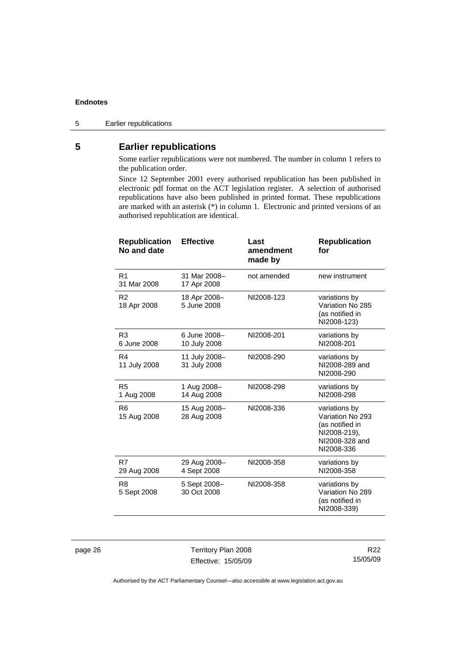#### 5 Earlier republications

# **5 Earlier republications**

Some earlier republications were not numbered. The number in column 1 refers to the publication order.

Since 12 September 2001 every authorised republication has been published in electronic pdf format on the ACT legislation register. A selection of authorised republications have also been published in printed format. These republications are marked with an asterisk (\*) in column 1. Electronic and printed versions of an authorised republication are identical.

| <b>Republication</b><br>No and date | <b>Effective</b>              | Last<br>amendment<br>made by | <b>Republication</b><br>for                                                                          |
|-------------------------------------|-------------------------------|------------------------------|------------------------------------------------------------------------------------------------------|
| R <sub>1</sub><br>31 Mar 2008       | 31 Mar 2008-<br>17 Apr 2008   | not amended                  | new instrument                                                                                       |
| R <sub>2</sub><br>18 Apr 2008       | 18 Apr 2008-<br>5 June 2008   | NI2008-123                   | variations by<br>Variation No 285<br>(as notified in<br>NI2008-123)                                  |
| R3<br>6 June 2008                   | 6 June 2008-<br>10 July 2008  | NI2008-201                   | variations by<br>NI2008-201                                                                          |
| R4<br>11 July 2008                  | 11 July 2008-<br>31 July 2008 | NI2008-290                   | variations by<br>NI2008-289 and<br>NI2008-290                                                        |
| R <sub>5</sub><br>1 Aug 2008        | 1 Aug 2008-<br>14 Aug 2008    | NI2008-298                   | variations by<br>NI2008-298                                                                          |
| R <sub>6</sub><br>15 Aug 2008       | 15 Aug 2008-<br>28 Aug 2008   | NI2008-336                   | variations by<br>Variation No 293<br>(as notified in<br>NI2008-219),<br>NI2008-328 and<br>NI2008-336 |
| R7<br>29 Aug 2008                   | 29 Aug 2008-<br>4 Sept 2008   | NI2008-358                   | variations by<br>NI2008-358                                                                          |
| R <sub>8</sub><br>5 Sept 2008       | 5 Sept 2008-<br>30 Oct 2008   | NI2008-358                   | variations by<br>Variation No 289<br>(as notified in<br>NI2008-339)                                  |

page 26 Territory Plan 2008 Effective: 15/05/09

R22 15/05/09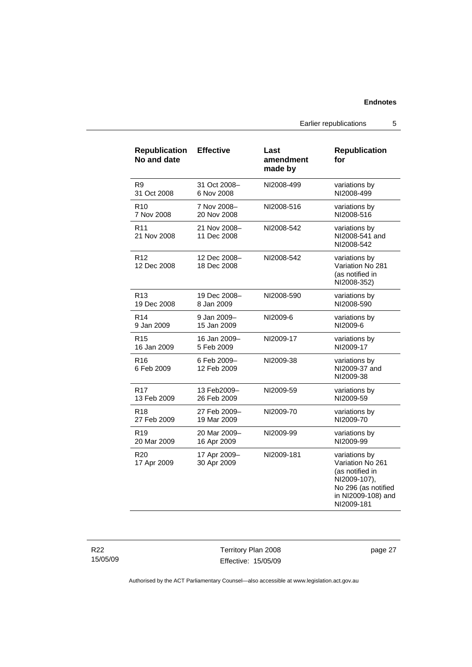Earlier republications 5

| <b>Republication</b><br>No and date | <b>Effective</b>            | Last<br>amendment<br>made by | <b>Republication</b><br>for                                                                                                     |
|-------------------------------------|-----------------------------|------------------------------|---------------------------------------------------------------------------------------------------------------------------------|
| R <sub>9</sub>                      | 31 Oct 2008-                | NI2008-499                   | variations by                                                                                                                   |
| 31 Oct 2008                         | 6 Nov 2008                  |                              | NI2008-499                                                                                                                      |
| R <sub>10</sub>                     | 7 Nov 2008-                 | NI2008-516                   | variations by                                                                                                                   |
| 7 Nov 2008                          | 20 Nov 2008                 |                              | NI2008-516                                                                                                                      |
| R <sub>11</sub><br>21 Nov 2008      | 21 Nov 2008-<br>11 Dec 2008 | NI2008-542                   | variations by<br>NI2008-541 and<br>NI2008-542                                                                                   |
| R <sub>12</sub><br>12 Dec 2008      | 12 Dec 2008-<br>18 Dec 2008 | NI2008-542                   | variations by<br>Variation No 281<br>(as notified in<br>NI2008-352)                                                             |
| R <sub>13</sub>                     | 19 Dec 2008-                | NI2008-590                   | variations by                                                                                                                   |
| 19 Dec 2008                         | 8 Jan 2009                  |                              | NI2008-590                                                                                                                      |
| R <sub>14</sub>                     | 9 Jan 2009-                 | NI2009-6                     | variations by                                                                                                                   |
| 9 Jan 2009                          | 15 Jan 2009                 |                              | NI2009-6                                                                                                                        |
| R <sub>15</sub>                     | 16 Jan 2009-                | NI2009-17                    | variations by                                                                                                                   |
| 16 Jan 2009                         | 5 Feb 2009                  |                              | NI2009-17                                                                                                                       |
| R <sub>16</sub><br>6 Feb 2009       | 6 Feb 2009-<br>12 Feb 2009  | NI2009-38                    | variations by<br>NI2009-37 and<br>NI2009-38                                                                                     |
| R <sub>17</sub>                     | 13 Feb2009–                 | NI2009-59                    | variations by                                                                                                                   |
| 13 Feb 2009                         | 26 Feb 2009                 |                              | NI2009-59                                                                                                                       |
| R <sub>18</sub>                     | 27 Feb 2009-                | NI2009-70                    | variations by                                                                                                                   |
| 27 Feb 2009                         | 19 Mar 2009                 |                              | NI2009-70                                                                                                                       |
| R <sub>19</sub>                     | 20 Mar 2009-                | NI2009-99                    | variations by                                                                                                                   |
| 20 Mar 2009                         | 16 Apr 2009                 |                              | NI2009-99                                                                                                                       |
| R <sub>20</sub><br>17 Apr 2009      | 17 Apr 2009-<br>30 Apr 2009 | NI2009-181                   | variations by<br>Variation No 261<br>(as notified in<br>NI2009-107),<br>No 296 (as notified<br>in NI2009-108) and<br>NI2009-181 |

Territory Plan 2008 Effective: 15/05/09 page 27